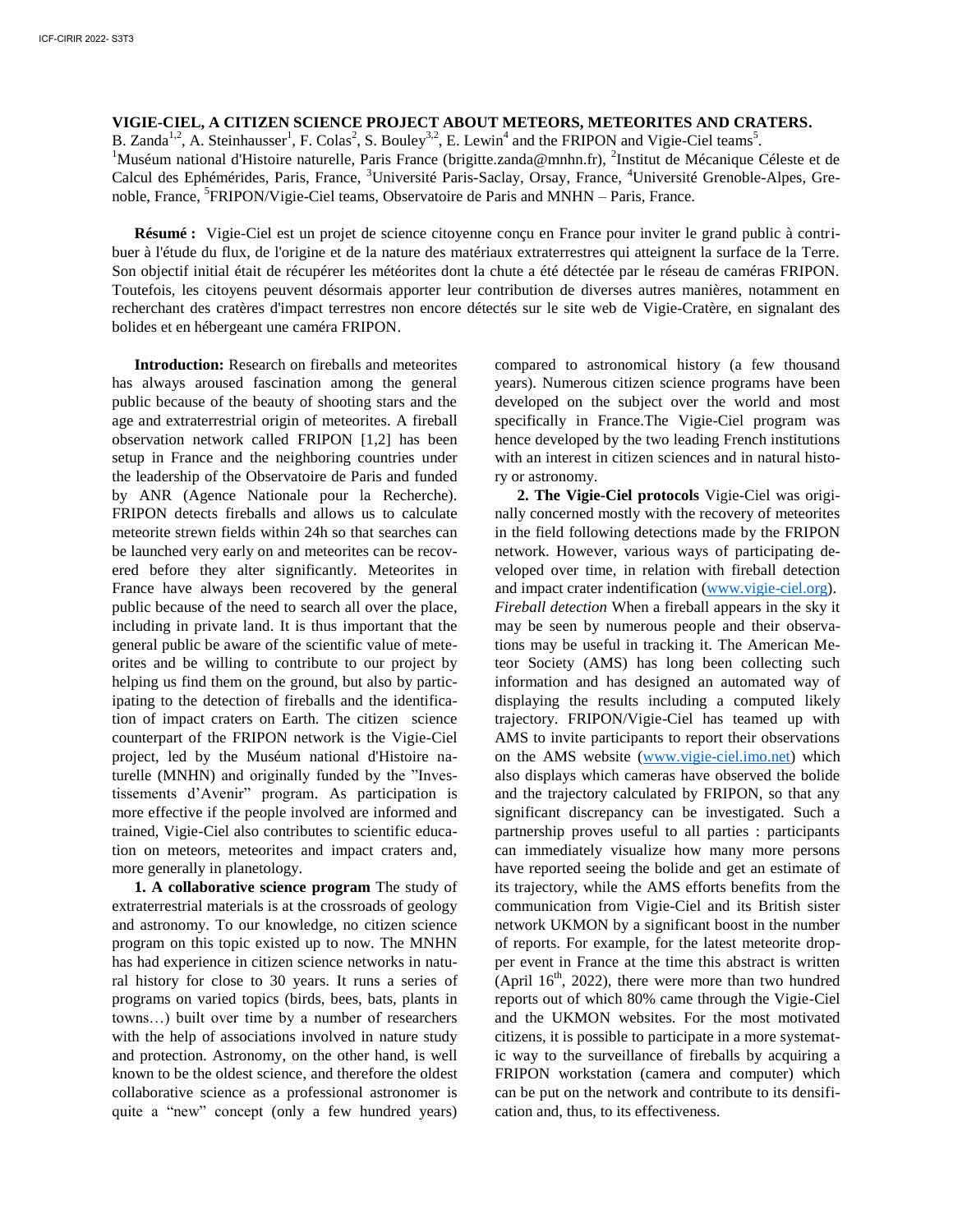## **VIGIE-CIEL, A CITIZEN SCIENCE PROJECT ABOUT METEORS, METEORITES AND CRATERS.**

B. Zanda<sup>1,2</sup>, A. Steinhausser<sup>1</sup>, F. Colas<sup>2</sup>, S. Bouley<sup>3,2</sup>, E. Lewin<sup>4</sup> and the FRIPON and Vigie-Ciel teams<sup>5</sup>.

<sup>1</sup>Muséum national d'Histoire naturelle, Paris France (brigitte.zanda@mnhn.fr), <sup>2</sup>Institut de Mécanique Céleste et de Calcul des Ephémérides, Paris, France, <sup>3</sup>Université Paris-Saclay, Orsay, France, <sup>4</sup>Université Grenoble-Alpes, Grenoble, France, <sup>5</sup>FRIPON/Vigie-Ciel teams, Observatoire de Paris and MNHN – Paris, France.

**Résumé :** Vigie-Ciel est un projet de science citoyenne conçu en France pour inviter le grand public à contribuer à l'étude du flux, de l'origine et de la nature des matériaux extraterrestres qui atteignent la surface de la Terre. Son objectif initial était de récupérer les météorites dont la chute a été détectée par le réseau de caméras FRIPON. Toutefois, les citoyens peuvent désormais apporter leur contribution de diverses autres manières, notamment en recherchant des cratères d'impact terrestres non encore détectés sur le site web de Vigie-Cratère, en signalant des bolides et en hébergeant une caméra FRIPON.

**Introduction:** Research on fireballs and meteorites has always aroused fascination among the general public because of the beauty of shooting stars and the age and extraterrestrial origin of meteorites. A fireball observation network called FRIPON [1,2] has been setup in France and the neighboring countries under the leadership of the Observatoire de Paris and funded by ANR (Agence Nationale pour la Recherche). FRIPON detects fireballs and allows us to calculate meteorite strewn fields within 24h so that searches can be launched very early on and meteorites can be recovered before they alter significantly. Meteorites in France have always been recovered by the general public because of the need to search all over the place, including in private land. It is thus important that the general public be aware of the scientific value of meteorites and be willing to contribute to our project by helping us find them on the ground, but also by participating to the detection of fireballs and the identification of impact craters on Earth. The citizen science counterpart of the FRIPON network is the Vigie-Ciel project, led by the Muséum national d'Histoire naturelle (MNHN) and originally funded by the "Investissements d'Avenir" program. As participation is more effective if the people involved are informed and trained, Vigie-Ciel also contributes to scientific education on meteors, meteorites and impact craters and, more generally in planetology.

**1. A collaborative science program** The study of extraterrestrial materials is at the crossroads of geology and astronomy. To our knowledge, no citizen science program on this topic existed up to now. The MNHN has had experience in citizen science networks in natural history for close to 30 years. It runs a series of programs on varied topics (birds, bees, bats, plants in towns…) built over time by a number of researchers with the help of associations involved in nature study and protection. Astronomy, on the other hand, is well known to be the oldest science, and therefore the oldest collaborative science as a professional astronomer is quite a "new" concept (only a few hundred years)

compared to astronomical history (a few thousand years). Numerous citizen science programs have been developed on the subject over the world and most specifically in France.The Vigie-Ciel program was hence developed by the two leading French institutions with an interest in citizen sciences and in natural history or astronomy.

**2. The Vigie-Ciel protocols** Vigie-Ciel was originally concerned mostly with the recovery of meteorites in the field following detections made by the FRIPON network. However, various ways of participating developed over time, in relation with fireball detection and impact crater indentification [\(www.vigie-ciel.org\)](http://www.vigie-ciel.org/). *Fireball detection* When a fireball appears in the sky it may be seen by numerous people and their observations may be useful in tracking it. The American Meteor Society (AMS) has long been collecting such information and has designed an automated way of displaying the results including a computed likely trajectory. FRIPON/Vigie-Ciel has teamed up with AMS to invite participants to report their observations on the AMS website [\(www.vigie-ciel.imo.net\)](http://www.vigie-ciel.imo.net/) which also displays which cameras have observed the bolide and the trajectory calculated by FRIPON, so that any significant discrepancy can be investigated. Such a partnership proves useful to all parties : participants can immediately visualize how many more persons have reported seeing the bolide and get an estimate of its trajectory, while the AMS efforts benefits from the communication from Vigie-Ciel and its British sister network UKMON by a significant boost in the number of reports. For example, for the latest meteorite dropper event in France at the time this abstract is written (April  $16<sup>th</sup>$ , 2022), there were more than two hundred reports out of which 80% came through the Vigie-Ciel and the UKMON websites. For the most motivated citizens, it is possible to participate in a more systematic way to the surveillance of fireballs by acquiring a FRIPON workstation (camera and computer) which can be put on the network and contribute to its densification and, thus, to its effectiveness.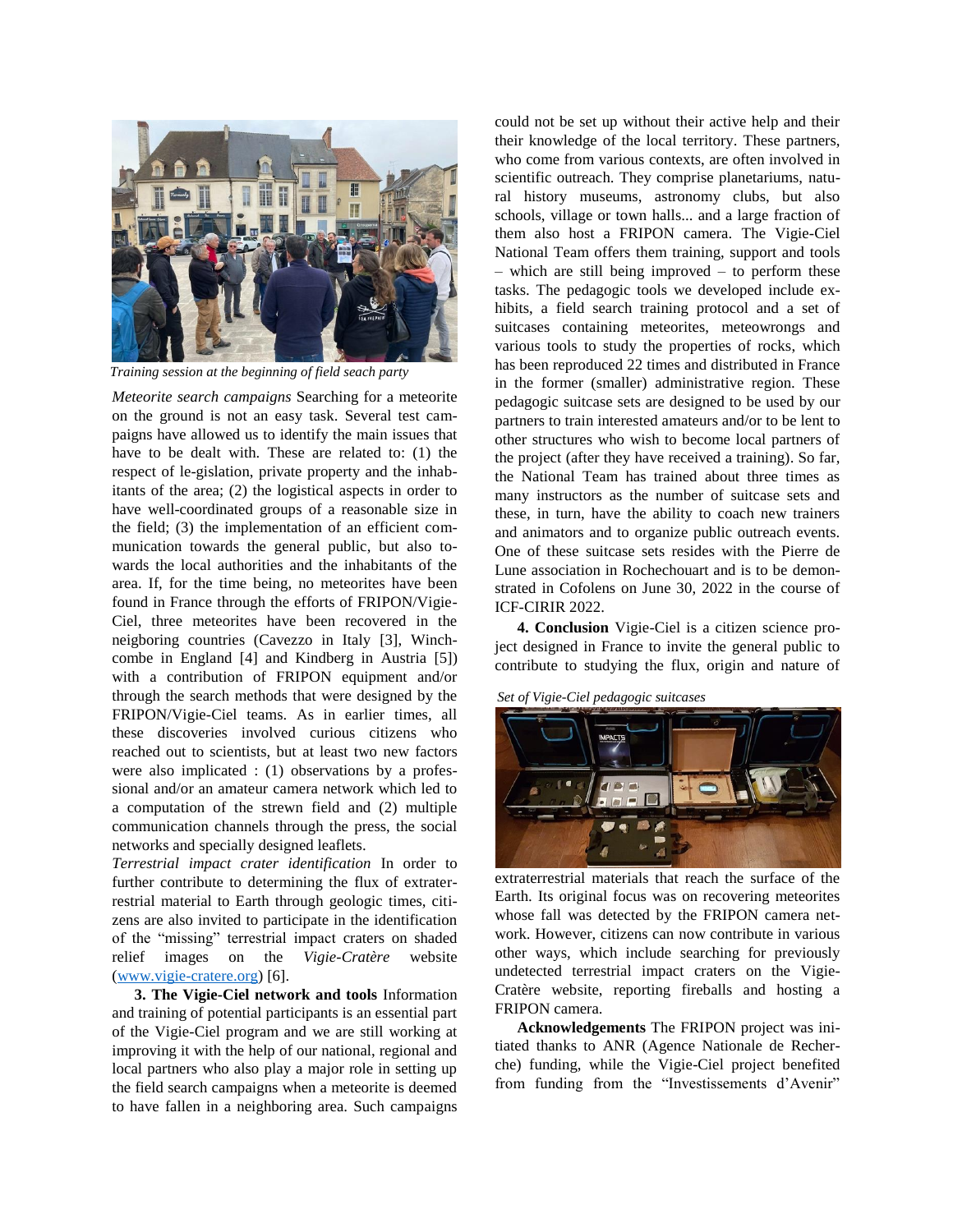

*Training session at the beginning of field seach party*

*Meteorite search campaigns* Searching for a meteorite on the ground is not an easy task. Several test campaigns have allowed us to identify the main issues that have to be dealt with. These are related to: (1) the respect of le-gislation, private property and the inhabitants of the area; (2) the logistical aspects in order to have well-coordinated groups of a reasonable size in the field; (3) the implementation of an efficient communication towards the general public, but also towards the local authorities and the inhabitants of the area. If, for the time being, no meteorites have been found in France through the efforts of FRIPON/Vigie-Ciel, three meteorites have been recovered in the neigboring countries (Cavezzo in Italy [3], Winchcombe in England [4] and Kindberg in Austria [5]) with a contribution of FRIPON equipment and/or through the search methods that were designed by the FRIPON/Vigie-Ciel teams. As in earlier times, all these discoveries involved curious citizens who reached out to scientists, but at least two new factors were also implicated : (1) observations by a professional and/or an amateur camera network which led to a computation of the strewn field and (2) multiple communication channels through the press, the social networks and specially designed leaflets.

*Terrestrial impact crater identification* In order to further contribute to determining the flux of extraterrestrial material to Earth through geologic times, citizens are also invited to participate in the identification of the "missing" terrestrial impact craters on shaded relief images on the *Vigie-Cratère* website [\(www.vigie-cratere.org\)](http://www.vigie-cratere.org/) [6].

**3. The Vigie-Ciel network and tools** Information and training of potential participants is an essential part of the Vigie-Ciel program and we are still working at improving it with the help of our national, regional and local partners who also play a major role in setting up the field search campaigns when a meteorite is deemed to have fallen in a neighboring area. Such campaigns

could not be set up without their active help and their their knowledge of the local territory. These partners, who come from various contexts, are often involved in scientific outreach. They comprise planetariums, natural history museums, astronomy clubs, but also schools, village or town halls... and a large fraction of them also host a FRIPON camera. The Vigie-Ciel National Team offers them training, support and tools – which are still being improved – to perform these tasks. The pedagogic tools we developed include exhibits, a field search training protocol and a set of suitcases containing meteorites, meteowrongs and various tools to study the properties of rocks, which has been reproduced 22 times and distributed in France in the former (smaller) administrative region. These pedagogic suitcase sets are designed to be used by our partners to train interested amateurs and/or to be lent to other structures who wish to become local partners of the project (after they have received a training). So far, the National Team has trained about three times as many instructors as the number of suitcase sets and these, in turn, have the ability to coach new trainers and animators and to organize public outreach events. One of these suitcase sets resides with the Pierre de Lune association in Rochechouart and is to be demonstrated in Cofolens on June 30, 2022 in the course of ICF-CIRIR 2022.

**4. Conclusion** Vigie-Ciel is a citizen science project designed in France to invite the general public to contribute to studying the flux, origin and nature of

*Set of Vigie-Ciel pedagogic suitcases*



extraterrestrial materials that reach the surface of the Earth. Its original focus was on recovering meteorites whose fall was detected by the FRIPON camera network. However, citizens can now contribute in various other ways, which include searching for previously undetected terrestrial impact craters on the Vigie-Cratère website, reporting fireballs and hosting a FRIPON camera.

**Acknowledgements** The FRIPON project was initiated thanks to ANR (Agence Nationale de Recherche) funding, while the Vigie-Ciel project benefited from funding from the "Investissements d'Avenir"